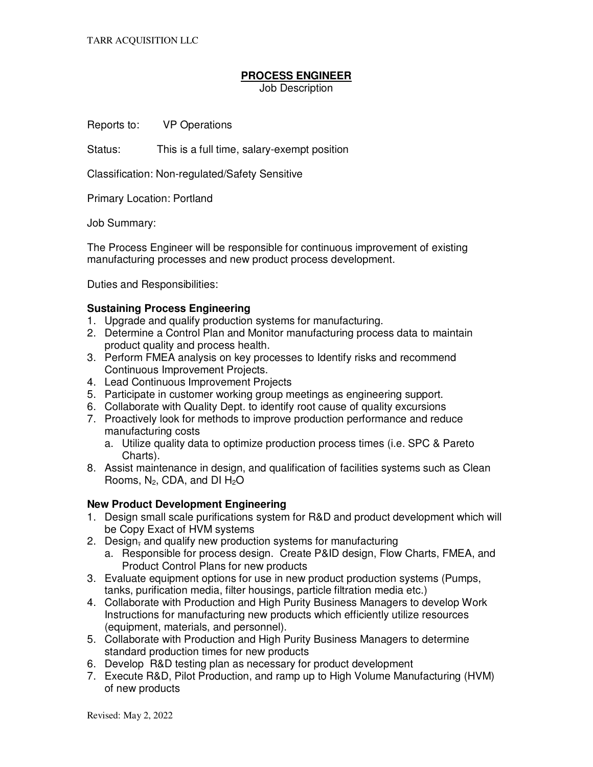## **PROCESS ENGINEER**

Job Description

Reports to: VP Operations

Status: This is a full time, salary-exempt position

Classification: Non-regulated/Safety Sensitive

Primary Location: Portland

Job Summary:

The Process Engineer will be responsible for continuous improvement of existing manufacturing processes and new product process development.

Duties and Responsibilities:

## **Sustaining Process Engineering**

- 1. Upgrade and qualify production systems for manufacturing.
- 2. Determine a Control Plan and Monitor manufacturing process data to maintain product quality and process health.
- 3. Perform FMEA analysis on key processes to Identify risks and recommend Continuous Improvement Projects.
- 4. Lead Continuous Improvement Projects
- 5. Participate in customer working group meetings as engineering support.
- 6. Collaborate with Quality Dept. to identify root cause of quality excursions
- 7. Proactively look for methods to improve production performance and reduce manufacturing costs
	- a. Utilize quality data to optimize production process times (i.e. SPC & Pareto Charts).
- 8. Assist maintenance in design, and qualification of facilities systems such as Clean Rooms,  $N_2$ , CDA, and DI  $H_2O$

## **New Product Development Engineering**

- 1. Design small scale purifications system for R&D and product development which will be Copy Exact of HVM systems
- 2. Design, and qualify new production systems for manufacturing
	- a. Responsible for process design. Create P&ID design, Flow Charts, FMEA, and Product Control Plans for new products
- 3. Evaluate equipment options for use in new product production systems (Pumps, tanks, purification media, filter housings, particle filtration media etc.)
- 4. Collaborate with Production and High Purity Business Managers to develop Work Instructions for manufacturing new products which efficiently utilize resources (equipment, materials, and personnel).
- 5. Collaborate with Production and High Purity Business Managers to determine standard production times for new products
- 6. Develop R&D testing plan as necessary for product development
- 7. Execute R&D, Pilot Production, and ramp up to High Volume Manufacturing (HVM) of new products